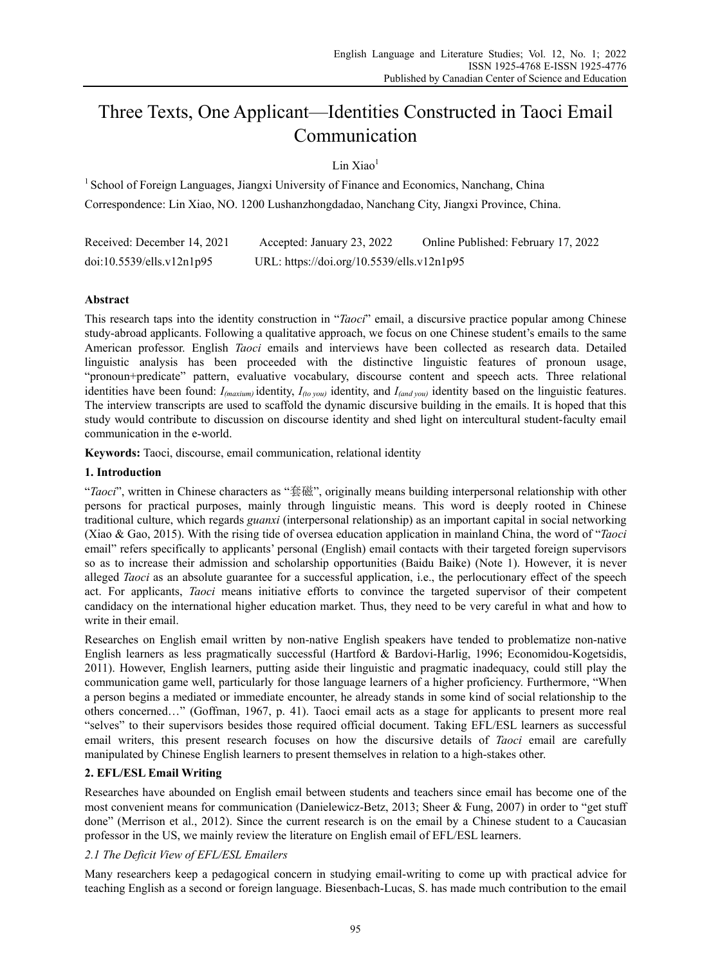# Three Texts, One Applicant—Identities Constructed in Taoci Email Communication

Lin  $Xiao<sup>1</sup>$ 

<sup>1</sup> School of Foreign Languages, Jiangxi University of Finance and Economics, Nanchang, China Correspondence: Lin Xiao, NO. 1200 Lushanzhongdadao, Nanchang City, Jiangxi Province, China.

| Received: December 14, 2021 | Accepted: January 23, 2022                 | Online Published: February 17, 2022 |
|-----------------------------|--------------------------------------------|-------------------------------------|
| doi:10.5539/ells.v12n1p95   | URL: https://doi.org/10.5539/ells.v12n1p95 |                                     |

# **Abstract**

This research taps into the identity construction in "*Taoci*" email, a discursive practice popular among Chinese study-abroad applicants. Following a qualitative approach, we focus on one Chinese student's emails to the same American professor. English *Taoci* emails and interviews have been collected as research data. Detailed linguistic analysis has been proceeded with the distinctive linguistic features of pronoun usage, "pronoun+predicate" pattern, evaluative vocabulary, discourse content and speech acts. Three relational identities have been found: *I(maxium)* identity, *I(to you)* identity, and *I(and you)* identity based on the linguistic features. The interview transcripts are used to scaffold the dynamic discursive building in the emails. It is hoped that this study would contribute to discussion on discourse identity and shed light on intercultural student-faculty email communication in the e-world.

**Keywords:** Taoci, discourse, email communication, relational identity

# **1. Introduction**

"*Taoci*", written in Chinese characters as "套磁", originally means building interpersonal relationship with other persons for practical purposes, mainly through linguistic means. This word is deeply rooted in Chinese traditional culture, which regards *guanxi* (interpersonal relationship) as an important capital in social networking (Xiao & Gao, 2015). With the rising tide of oversea education application in mainland China, the word of "*Taoci* email" refers specifically to applicants' personal (English) email contacts with their targeted foreign supervisors so as to increase their admission and scholarship opportunities (Baidu Baike) (Note 1). However, it is never alleged *Taoci* as an absolute guarantee for a successful application, i.e., the perlocutionary effect of the speech act. For applicants, *Taoci* means initiative efforts to convince the targeted supervisor of their competent candidacy on the international higher education market. Thus, they need to be very careful in what and how to write in their email.

Researches on English email written by non-native English speakers have tended to problematize non-native English learners as less pragmatically successful (Hartford & Bardovi-Harlig, 1996; Economidou-Kogetsidis, 2011). However, English learners, putting aside their linguistic and pragmatic inadequacy, could still play the communication game well, particularly for those language learners of a higher proficiency. Furthermore, "When a person begins a mediated or immediate encounter, he already stands in some kind of social relationship to the others concerned…" (Goffman, 1967, p. 41). Taoci email acts as a stage for applicants to present more real "selves" to their supervisors besides those required official document. Taking EFL/ESL learners as successful email writers, this present research focuses on how the discursive details of *Taoci* email are carefully manipulated by Chinese English learners to present themselves in relation to a high-stakes other.

# **2. EFL/ESL Email Writing**

Researches have abounded on English email between students and teachers since email has become one of the most convenient means for communication (Danielewicz-Betz, 2013; Sheer & Fung, 2007) in order to "get stuff done" (Merrison et al., 2012). Since the current research is on the email by a Chinese student to a Caucasian professor in the US, we mainly review the literature on English email of EFL/ESL learners.

# *2.1 The Deficit View of EFL/ESL Emailers*

Many researchers keep a pedagogical concern in studying email-writing to come up with practical advice for teaching English as a second or foreign language. Biesenbach-Lucas, S. has made much contribution to the email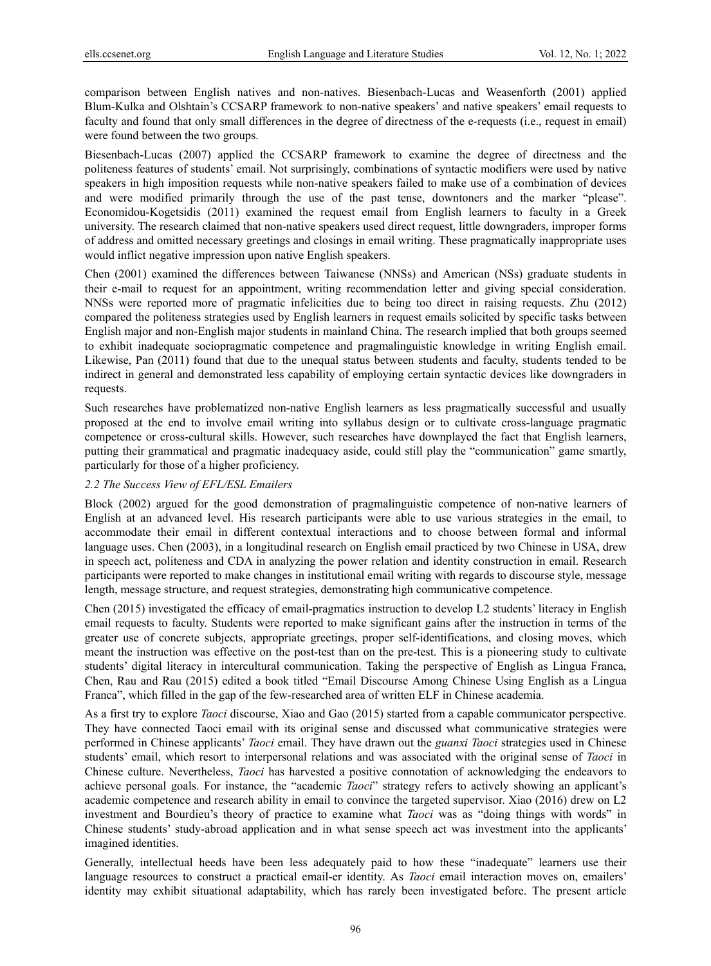comparison between English natives and non-natives. Biesenbach-Lucas and Weasenforth (2001) applied Blum-Kulka and Olshtain's CCSARP framework to non-native speakers' and native speakers' email requests to faculty and found that only small differences in the degree of directness of the e-requests (i.e., request in email) were found between the two groups.

Biesenbach-Lucas (2007) applied the CCSARP framework to examine the degree of directness and the politeness features of students' email. Not surprisingly, combinations of syntactic modifiers were used by native speakers in high imposition requests while non-native speakers failed to make use of a combination of devices and were modified primarily through the use of the past tense, downtoners and the marker "please". Economidou-Kogetsidis (2011) examined the request email from English learners to faculty in a Greek university. The research claimed that non-native speakers used direct request, little downgraders, improper forms of address and omitted necessary greetings and closings in email writing. These pragmatically inappropriate uses would inflict negative impression upon native English speakers.

Chen (2001) examined the differences between Taiwanese (NNSs) and American (NSs) graduate students in their e-mail to request for an appointment, writing recommendation letter and giving special consideration. NNSs were reported more of pragmatic infelicities due to being too direct in raising requests. Zhu (2012) compared the politeness strategies used by English learners in request emails solicited by specific tasks between English major and non-English major students in mainland China. The research implied that both groups seemed to exhibit inadequate sociopragmatic competence and pragmalinguistic knowledge in writing English email. Likewise, Pan (2011) found that due to the unequal status between students and faculty, students tended to be indirect in general and demonstrated less capability of employing certain syntactic devices like downgraders in requests.

Such researches have problematized non-native English learners as less pragmatically successful and usually proposed at the end to involve email writing into syllabus design or to cultivate cross-language pragmatic competence or cross-cultural skills. However, such researches have downplayed the fact that English learners, putting their grammatical and pragmatic inadequacy aside, could still play the "communication" game smartly, particularly for those of a higher proficiency.

## *2.2 The Success View of EFL/ESL Emailers*

Block (2002) argued for the good demonstration of pragmalinguistic competence of non-native learners of English at an advanced level. His research participants were able to use various strategies in the email, to accommodate their email in different contextual interactions and to choose between formal and informal language uses. Chen (2003), in a longitudinal research on English email practiced by two Chinese in USA, drew in speech act, politeness and CDA in analyzing the power relation and identity construction in email. Research participants were reported to make changes in institutional email writing with regards to discourse style, message length, message structure, and request strategies, demonstrating high communicative competence.

Chen (2015) investigated the efficacy of email-pragmatics instruction to develop L2 students' literacy in English email requests to faculty. Students were reported to make significant gains after the instruction in terms of the greater use of concrete subjects, appropriate greetings, proper self-identifications, and closing moves, which meant the instruction was effective on the post-test than on the pre-test. This is a pioneering study to cultivate students' digital literacy in intercultural communication. Taking the perspective of English as Lingua Franca, Chen, Rau and Rau (2015) edited a book titled "Email Discourse Among Chinese Using English as a Lingua Franca", which filled in the gap of the few-researched area of written ELF in Chinese academia.

As a first try to explore *Taoci* discourse, Xiao and Gao (2015) started from a capable communicator perspective. They have connected Taoci email with its original sense and discussed what communicative strategies were performed in Chinese applicants' *Taoci* email. They have drawn out the *guanxi Taoci* strategies used in Chinese students' email, which resort to interpersonal relations and was associated with the original sense of *Taoci* in Chinese culture. Nevertheless, *Taoci* has harvested a positive connotation of acknowledging the endeavors to achieve personal goals. For instance, the "academic *Taoci*" strategy refers to actively showing an applicant's academic competence and research ability in email to convince the targeted supervisor. Xiao (2016) drew on L2 investment and Bourdieu's theory of practice to examine what *Taoci* was as "doing things with words" in Chinese students' study-abroad application and in what sense speech act was investment into the applicants' imagined identities.

Generally, intellectual heeds have been less adequately paid to how these "inadequate" learners use their language resources to construct a practical email-er identity. As *Taoci* email interaction moves on, emailers' identity may exhibit situational adaptability, which has rarely been investigated before. The present article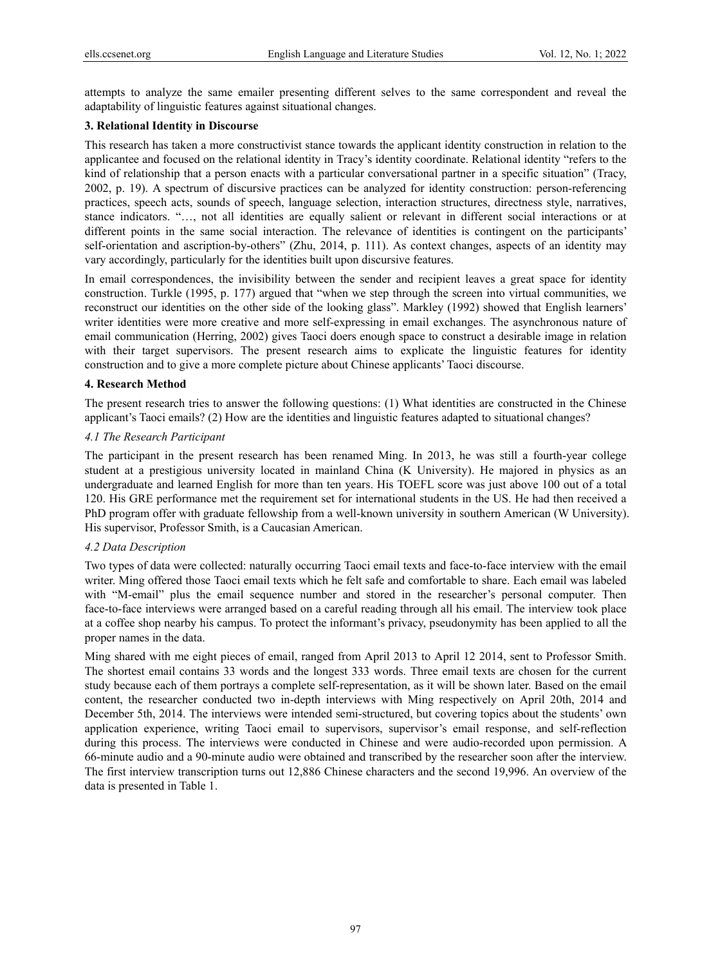attempts to analyze the same emailer presenting different selves to the same correspondent and reveal the adaptability of linguistic features against situational changes.

## **3. Relational Identity in Discourse**

This research has taken a more constructivist stance towards the applicant identity construction in relation to the applicantee and focused on the relational identity in Tracy's identity coordinate. Relational identity "refers to the kind of relationship that a person enacts with a particular conversational partner in a specific situation" (Tracy, 2002, p. 19). A spectrum of discursive practices can be analyzed for identity construction: person-referencing practices, speech acts, sounds of speech, language selection, interaction structures, directness style, narratives, stance indicators. "…, not all identities are equally salient or relevant in different social interactions or at different points in the same social interaction. The relevance of identities is contingent on the participants' self-orientation and ascription-by-others" (Zhu, 2014, p. 111). As context changes, aspects of an identity may vary accordingly, particularly for the identities built upon discursive features.

In email correspondences, the invisibility between the sender and recipient leaves a great space for identity construction. Turkle (1995, p. 177) argued that "when we step through the screen into virtual communities, we reconstruct our identities on the other side of the looking glass". Markley (1992) showed that English learners' writer identities were more creative and more self-expressing in email exchanges. The asynchronous nature of email communication (Herring, 2002) gives Taoci doers enough space to construct a desirable image in relation with their target supervisors. The present research aims to explicate the linguistic features for identity construction and to give a more complete picture about Chinese applicants' Taoci discourse.

#### **4. Research Method**

The present research tries to answer the following questions: (1) What identities are constructed in the Chinese applicant's Taoci emails? (2) How are the identities and linguistic features adapted to situational changes?

#### *4.1 The Research Participant*

The participant in the present research has been renamed Ming. In 2013, he was still a fourth-year college student at a prestigious university located in mainland China (K University). He majored in physics as an undergraduate and learned English for more than ten years. His TOEFL score was just above 100 out of a total 120. His GRE performance met the requirement set for international students in the US. He had then received a PhD program offer with graduate fellowship from a well-known university in southern American (W University). His supervisor, Professor Smith, is a Caucasian American.

#### *4.2 Data Description*

Two types of data were collected: naturally occurring Taoci email texts and face-to-face interview with the email writer. Ming offered those Taoci email texts which he felt safe and comfortable to share. Each email was labeled with "M-email" plus the email sequence number and stored in the researcher's personal computer. Then face-to-face interviews were arranged based on a careful reading through all his email. The interview took place at a coffee shop nearby his campus. To protect the informant's privacy, pseudonymity has been applied to all the proper names in the data.

Ming shared with me eight pieces of email, ranged from April 2013 to April 12 2014, sent to Professor Smith. The shortest email contains 33 words and the longest 333 words. Three email texts are chosen for the current study because each of them portrays a complete self-representation, as it will be shown later. Based on the email content, the researcher conducted two in-depth interviews with Ming respectively on April 20th, 2014 and December 5th, 2014. The interviews were intended semi-structured, but covering topics about the students' own application experience, writing Taoci email to supervisors, supervisor's email response, and self-reflection during this process. The interviews were conducted in Chinese and were audio-recorded upon permission. A 66-minute audio and a 90-minute audio were obtained and transcribed by the researcher soon after the interview. The first interview transcription turns out 12,886 Chinese characters and the second 19,996. An overview of the data is presented in Table 1.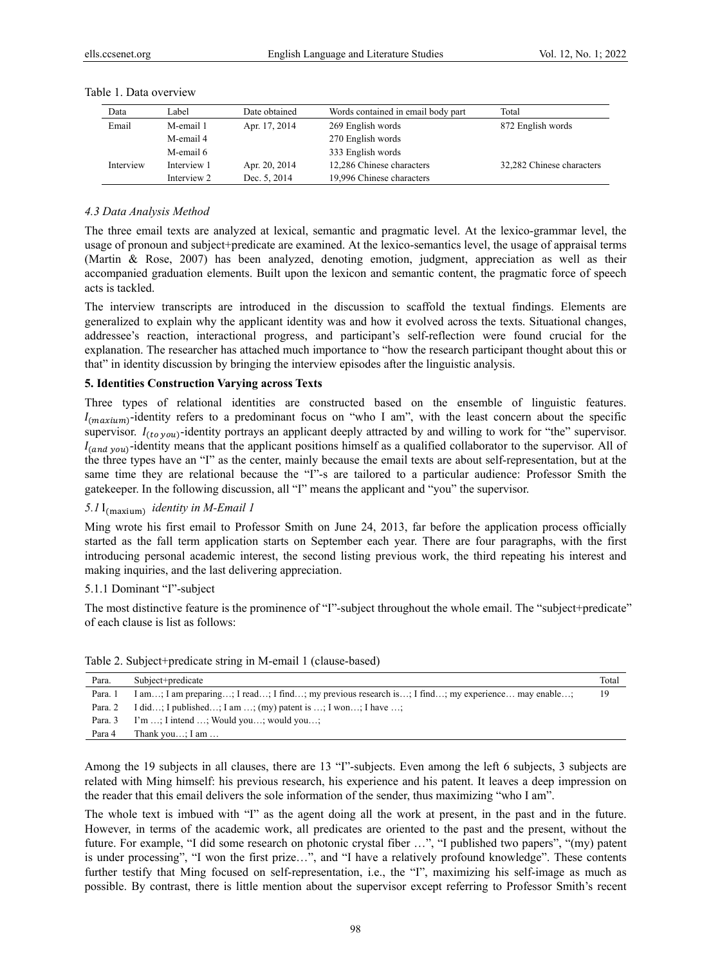| Data      | Label       | Date obtained | Words contained in email body part | Total                     |
|-----------|-------------|---------------|------------------------------------|---------------------------|
| Email     | M-email 1   | Apr. 17, 2014 | 269 English words                  | 872 English words         |
|           | M-email 4   |               | 270 English words                  |                           |
|           | M-email 6   |               | 333 English words                  |                           |
| Interview | Interview 1 | Apr. 20, 2014 | 12,286 Chinese characters          | 32,282 Chinese characters |
|           | Interview 2 | Dec. 5, 2014  | 19,996 Chinese characters          |                           |

#### Table 1. Data overview

#### *4.3 Data Analysis Method*

The three email texts are analyzed at lexical, semantic and pragmatic level. At the lexico-grammar level, the usage of pronoun and subject+predicate are examined. At the lexico-semantics level, the usage of appraisal terms (Martin & Rose, 2007) has been analyzed, denoting emotion, judgment, appreciation as well as their accompanied graduation elements. Built upon the lexicon and semantic content, the pragmatic force of speech acts is tackled.

The interview transcripts are introduced in the discussion to scaffold the textual findings. Elements are generalized to explain why the applicant identity was and how it evolved across the texts. Situational changes, addressee's reaction, interactional progress, and participant's self-reflection were found crucial for the explanation. The researcher has attached much importance to "how the research participant thought about this or that" in identity discussion by bringing the interview episodes after the linguistic analysis.

#### **5. Identities Construction Varying across Texts**

Three types of relational identities are constructed based on the ensemble of linguistic features.  $I_{(maximum)}$ -identity refers to a predominant focus on "who I am", with the least concern about the specific supervisor.  $I_{(to you)}$ -identity portrays an applicant deeply attracted by and willing to work for "the" supervisor.  $I_{(and\ you)}$ -identity means that the applicant positions himself as a qualified collaborator to the supervisor. All of the three types have an "I" as the center, mainly because the email texts are about self-representation, but at the same time they are relational because the "I"-s are tailored to a particular audience: Professor Smith the gatekeeper. In the following discussion, all "I" means the applicant and "you" the supervisor.

# *5.1* I<sub>(maxium)</sub> *identity in M-Email 1*

Ming wrote his first email to Professor Smith on June 24, 2013, far before the application process officially started as the fall term application starts on September each year. There are four paragraphs, with the first introducing personal academic interest, the second listing previous work, the third repeating his interest and making inquiries, and the last delivering appreciation.

#### 5.1.1 Dominant "I"-subject

The most distinctive feature is the prominence of "I"-subject throughout the whole email. The "subject+predicate" of each clause is list as follows:

| Para.   | Subject+predicate                                                                                | Total |
|---------|--------------------------------------------------------------------------------------------------|-------|
| Para. 1 | I am; I am preparing; I read; I find; my previous research is; I find; my experience may enable; | 19    |
| Para. 2 | I did; I published; I am ; (my) patent is ; I won; I have ;                                      |       |
| Para. 3 | $\Gamma$ m ; I intend ; Would you; would you;                                                    |       |
| Para 4  | Thank you; I am $\dots$                                                                          |       |

Table 2. Subject+predicate string in M-email 1 (clause-based)

Among the 19 subjects in all clauses, there are 13 "I"-subjects. Even among the left 6 subjects, 3 subjects are related with Ming himself: his previous research, his experience and his patent. It leaves a deep impression on the reader that this email delivers the sole information of the sender, thus maximizing "who I am".

The whole text is imbued with "I" as the agent doing all the work at present, in the past and in the future. However, in terms of the academic work, all predicates are oriented to the past and the present, without the future. For example, "I did some research on photonic crystal fiber …", "I published two papers", "(my) patent is under processing", "I won the first prize…", and "I have a relatively profound knowledge". These contents further testify that Ming focused on self-representation, i.e., the "I", maximizing his self-image as much as possible. By contrast, there is little mention about the supervisor except referring to Professor Smith's recent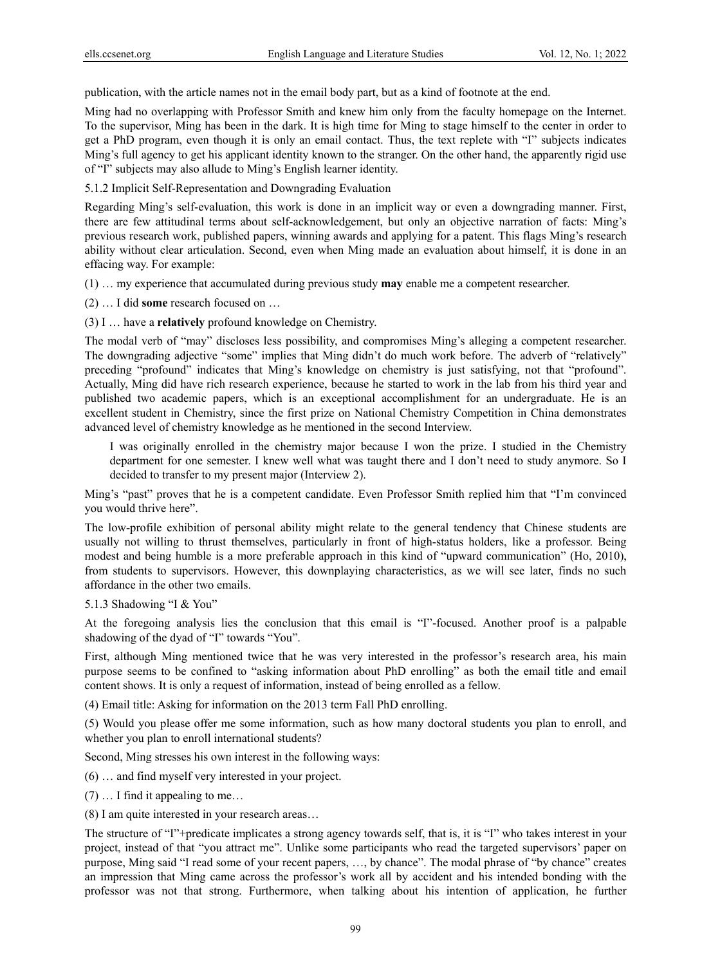publication, with the article names not in the email body part, but as a kind of footnote at the end.

Ming had no overlapping with Professor Smith and knew him only from the faculty homepage on the Internet. To the supervisor, Ming has been in the dark. It is high time for Ming to stage himself to the center in order to get a PhD program, even though it is only an email contact. Thus, the text replete with "I" subjects indicates Ming's full agency to get his applicant identity known to the stranger. On the other hand, the apparently rigid use of "I" subjects may also allude to Ming's English learner identity.

5.1.2 Implicit Self-Representation and Downgrading Evaluation

Regarding Ming's self-evaluation, this work is done in an implicit way or even a downgrading manner. First, there are few attitudinal terms about self-acknowledgement, but only an objective narration of facts: Ming's previous research work, published papers, winning awards and applying for a patent. This flags Ming's research ability without clear articulation. Second, even when Ming made an evaluation about himself, it is done in an effacing way. For example:

(1) … my experience that accumulated during previous study **may** enable me a competent researcher.

(2) … I did **some** research focused on …

(3) I … have a **relatively** profound knowledge on Chemistry.

The modal verb of "may" discloses less possibility, and compromises Ming's alleging a competent researcher. The downgrading adjective "some" implies that Ming didn't do much work before. The adverb of "relatively" preceding "profound" indicates that Ming's knowledge on chemistry is just satisfying, not that "profound". Actually, Ming did have rich research experience, because he started to work in the lab from his third year and published two academic papers, which is an exceptional accomplishment for an undergraduate. He is an excellent student in Chemistry, since the first prize on National Chemistry Competition in China demonstrates advanced level of chemistry knowledge as he mentioned in the second Interview.

I was originally enrolled in the chemistry major because I won the prize. I studied in the Chemistry department for one semester. I knew well what was taught there and I don't need to study anymore. So I decided to transfer to my present major (Interview 2).

Ming's "past" proves that he is a competent candidate. Even Professor Smith replied him that "I'm convinced you would thrive here".

The low-profile exhibition of personal ability might relate to the general tendency that Chinese students are usually not willing to thrust themselves, particularly in front of high-status holders, like a professor. Being modest and being humble is a more preferable approach in this kind of "upward communication" (Ho, 2010), from students to supervisors. However, this downplaying characteristics, as we will see later, finds no such affordance in the other two emails.

5.1.3 Shadowing "I & You"

At the foregoing analysis lies the conclusion that this email is "I"-focused. Another proof is a palpable shadowing of the dyad of "I" towards "You".

First, although Ming mentioned twice that he was very interested in the professor's research area, his main purpose seems to be confined to "asking information about PhD enrolling" as both the email title and email content shows. It is only a request of information, instead of being enrolled as a fellow.

(4) Email title: Asking for information on the 2013 term Fall PhD enrolling.

(5) Would you please offer me some information, such as how many doctoral students you plan to enroll, and whether you plan to enroll international students?

Second, Ming stresses his own interest in the following ways:

(6) … and find myself very interested in your project.

(7) … I find it appealing to me…

(8) I am quite interested in your research areas…

The structure of "I"+predicate implicates a strong agency towards self, that is, it is "I" who takes interest in your project, instead of that "you attract me". Unlike some participants who read the targeted supervisors' paper on purpose, Ming said "I read some of your recent papers, …, by chance". The modal phrase of "by chance" creates an impression that Ming came across the professor's work all by accident and his intended bonding with the professor was not that strong. Furthermore, when talking about his intention of application, he further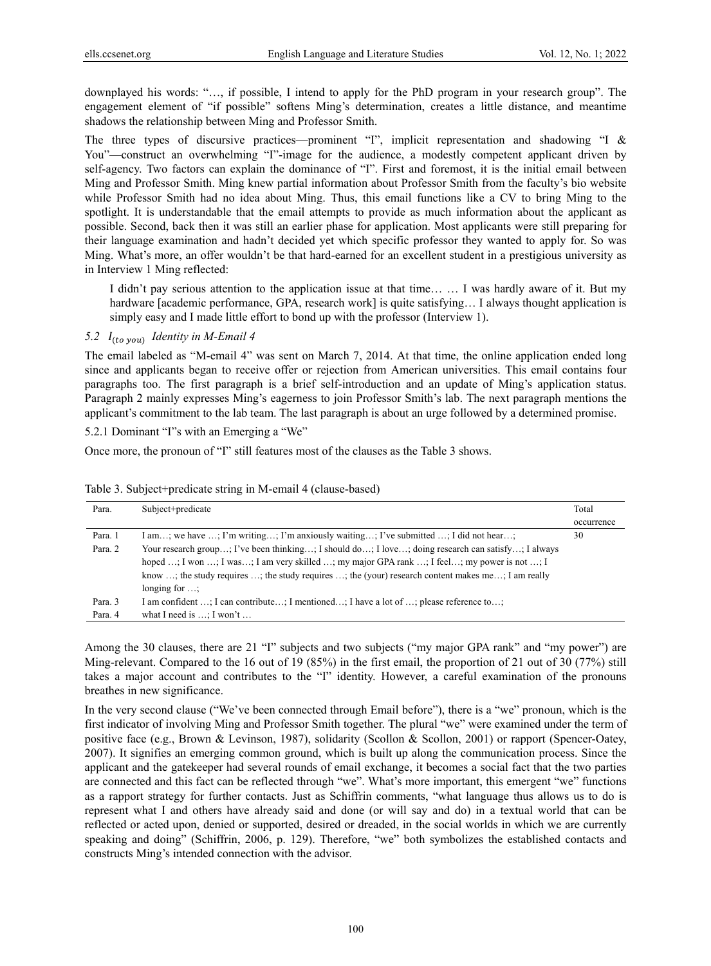downplayed his words: "…, if possible, I intend to apply for the PhD program in your research group". The engagement element of "if possible" softens Ming's determination, creates a little distance, and meantime shadows the relationship between Ming and Professor Smith.

The three types of discursive practices—prominent "I", implicit representation and shadowing "I & You"—construct an overwhelming "I"-image for the audience, a modestly competent applicant driven by self-agency. Two factors can explain the dominance of "I". First and foremost, it is the initial email between Ming and Professor Smith. Ming knew partial information about Professor Smith from the faculty's bio website while Professor Smith had no idea about Ming. Thus, this email functions like a CV to bring Ming to the spotlight. It is understandable that the email attempts to provide as much information about the applicant as possible. Second, back then it was still an earlier phase for application. Most applicants were still preparing for their language examination and hadn't decided yet which specific professor they wanted to apply for. So was Ming. What's more, an offer wouldn't be that hard-earned for an excellent student in a prestigious university as in Interview 1 Ming reflected:

I didn't pay serious attention to the application issue at that time… … I was hardly aware of it. But my hardware [academic performance, GPA, research work] is quite satisfying... I always thought application is simply easy and I made little effort to bond up with the professor (Interview 1).

#### *5.2*  $I_{(to \text{ you})}$  *Identity in M-Email 4*

The email labeled as "M-email 4" was sent on March 7, 2014. At that time, the online application ended long since and applicants began to receive offer or rejection from American universities. This email contains four paragraphs too. The first paragraph is a brief self-introduction and an update of Ming's application status. Paragraph 2 mainly expresses Ming's eagerness to join Professor Smith's lab. The next paragraph mentions the applicant's commitment to the lab team. The last paragraph is about an urge followed by a determined promise.

5.2.1 Dominant "I"s with an Emerging a "We"

Once more, the pronoun of "I" still features most of the clauses as the Table 3 shows.

| Para.   | Subject+predicate                                                                                  | Total      |
|---------|----------------------------------------------------------------------------------------------------|------------|
|         |                                                                                                    | occurrence |
| Para. 1 | I am; we have ; I'm writing; I'm anxiously waiting; I've submitted ; I did not hear;               | 30         |
| Para, 2 | Your research group; I've been thinking; I should do; I love; doing research can satisfy; I always |            |
|         | hoped ; I won ; I was; I am very skilled ; my major GPA rank ; I feel; my power is not ; I         |            |
|         | know ; the study requires ; the study requires ; the (your) research content makes me; I am really |            |
|         | longing for $\ldots$                                                                               |            |
| Para. 3 | I am confident ; I can contribute; I mentioned; I have a lot of ; please reference to;             |            |
| Para. 4 | what I need is $\ldots$ : I won't $\ldots$                                                         |            |

Table 3. Subject+predicate string in M-email 4 (clause-based)

Among the 30 clauses, there are 21 "I" subjects and two subjects ("my major GPA rank" and "my power") are Ming-relevant. Compared to the 16 out of 19 (85%) in the first email, the proportion of 21 out of 30 (77%) still takes a major account and contributes to the "I" identity. However, a careful examination of the pronouns breathes in new significance.

In the very second clause ("We've been connected through Email before"), there is a "we" pronoun, which is the first indicator of involving Ming and Professor Smith together. The plural "we" were examined under the term of positive face (e.g., Brown & Levinson, 1987), solidarity (Scollon & Scollon, 2001) or rapport (Spencer-Oatey, 2007). It signifies an emerging common ground, which is built up along the communication process. Since the applicant and the gatekeeper had several rounds of email exchange, it becomes a social fact that the two parties are connected and this fact can be reflected through "we". What's more important, this emergent "we" functions as a rapport strategy for further contacts. Just as Schiffrin comments, "what language thus allows us to do is represent what I and others have already said and done (or will say and do) in a textual world that can be reflected or acted upon, denied or supported, desired or dreaded, in the social worlds in which we are currently speaking and doing" (Schiffrin, 2006, p. 129). Therefore, "we" both symbolizes the established contacts and constructs Ming's intended connection with the advisor.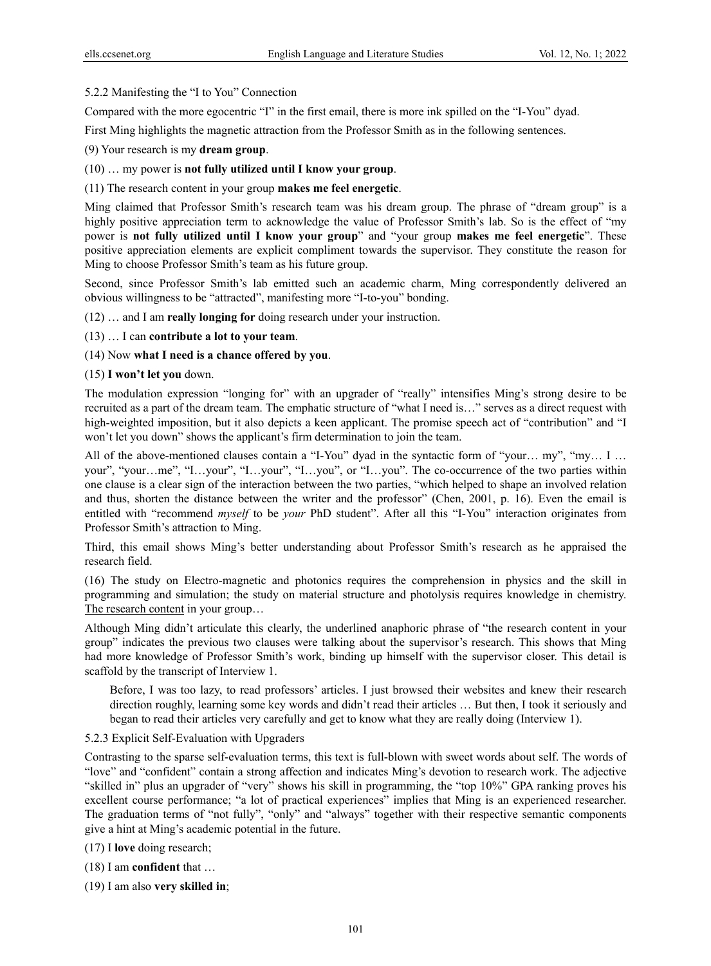# 5.2.2 Manifesting the "I to You" Connection

Compared with the more egocentric "I" in the first email, there is more ink spilled on the "I-You" dyad.

First Ming highlights the magnetic attraction from the Professor Smith as in the following sentences.

(9) Your research is my **dream group**.

# (10) … my power is **not fully utilized until I know your group**.

## (11) The research content in your group **makes me feel energetic**.

Ming claimed that Professor Smith's research team was his dream group. The phrase of "dream group" is a highly positive appreciation term to acknowledge the value of Professor Smith's lab. So is the effect of "my power is **not fully utilized until I know your group**" and "your group **makes me feel energetic**". These positive appreciation elements are explicit compliment towards the supervisor. They constitute the reason for Ming to choose Professor Smith's team as his future group.

Second, since Professor Smith's lab emitted such an academic charm, Ming correspondently delivered an obvious willingness to be "attracted", manifesting more "I-to-you" bonding.

(12) … and I am **really longing for** doing research under your instruction.

## (13) … I can **contribute a lot to your team**.

## (14) Now **what I need is a chance offered by you**.

## (15) **I won't let you** down.

The modulation expression "longing for" with an upgrader of "really" intensifies Ming's strong desire to be recruited as a part of the dream team. The emphatic structure of "what I need is…" serves as a direct request with high-weighted imposition, but it also depicts a keen applicant. The promise speech act of "contribution" and "I won't let you down" shows the applicant's firm determination to join the team.

All of the above-mentioned clauses contain a "I-You" dyad in the syntactic form of "your… my", "my… I … your", "your...me", "I...your", "I...your", "I...you", or "I...you". The co-occurrence of the two parties within one clause is a clear sign of the interaction between the two parties, "which helped to shape an involved relation and thus, shorten the distance between the writer and the professor" (Chen, 2001, p. 16). Even the email is entitled with "recommend *myself* to be *your* PhD student". After all this "I-You" interaction originates from Professor Smith's attraction to Ming.

Third, this email shows Ming's better understanding about Professor Smith's research as he appraised the research field.

(16) The study on Electro-magnetic and photonics requires the comprehension in physics and the skill in programming and simulation; the study on material structure and photolysis requires knowledge in chemistry. The research content in your group…

Although Ming didn't articulate this clearly, the underlined anaphoric phrase of "the research content in your group" indicates the previous two clauses were talking about the supervisor's research. This shows that Ming had more knowledge of Professor Smith's work, binding up himself with the supervisor closer. This detail is scaffold by the transcript of Interview 1.

Before, I was too lazy, to read professors' articles. I just browsed their websites and knew their research direction roughly, learning some key words and didn't read their articles … But then, I took it seriously and began to read their articles very carefully and get to know what they are really doing (Interview 1).

#### 5.2.3 Explicit Self-Evaluation with Upgraders

Contrasting to the sparse self-evaluation terms, this text is full-blown with sweet words about self. The words of "love" and "confident" contain a strong affection and indicates Ming's devotion to research work. The adjective "skilled in" plus an upgrader of "very" shows his skill in programming, the "top 10%" GPA ranking proves his excellent course performance; "a lot of practical experiences" implies that Ming is an experienced researcher. The graduation terms of "not fully", "only" and "always" together with their respective semantic components give a hint at Ming's academic potential in the future.

(17) I **love** doing research;

(18) I am **confident** that …

(19) I am also **very skilled in**;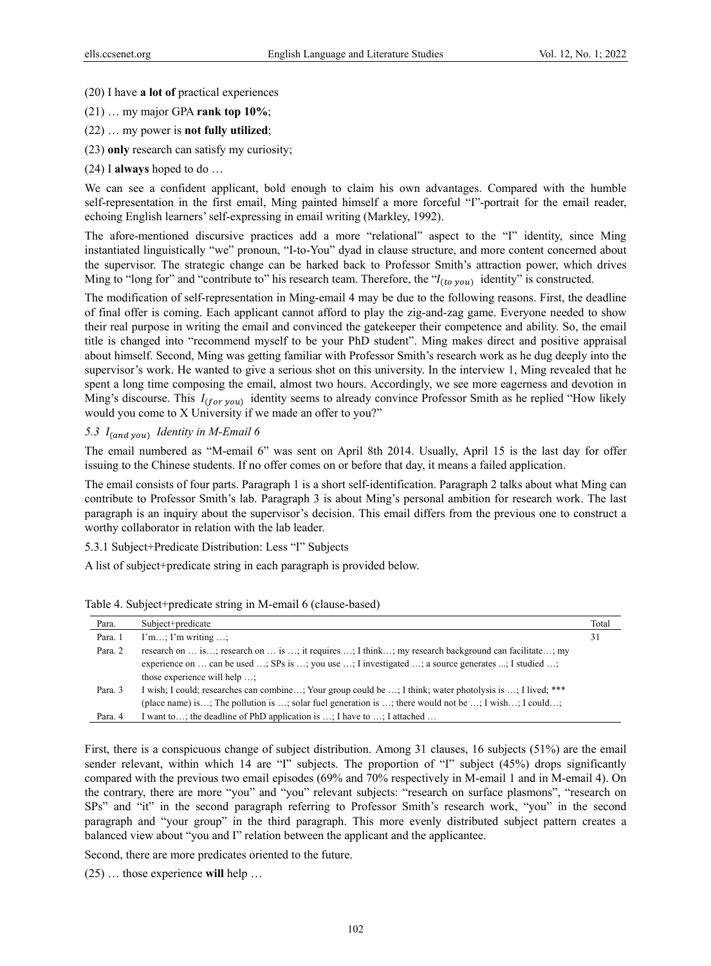- (20) I have **a lot of** practical experiences
- (21) … my major GPA **rank top 10%**;
- (22) … my power is **not fully utilized**;
- (23) **only** research can satisfy my curiosity;
- (24) I **always** hoped to do …

We can see a confident applicant, bold enough to claim his own advantages. Compared with the humble self-representation in the first email, Ming painted himself a more forceful "I"-portrait for the email reader, echoing English learners' self-expressing in email writing (Markley, 1992).

The afore-mentioned discursive practices add a more "relational" aspect to the "I" identity, since Ming instantiated linguistically "we" pronoun, "I-to-You" dyad in clause structure, and more content concerned about the supervisor. The strategic change can be harked back to Professor Smith's attraction power, which drives Ming to "long for" and "contribute to" his research team. Therefore, the " $I_{(to you)}$  identity" is constructed.

The modification of self-representation in Ming-email 4 may be due to the following reasons. First, the deadline of final offer is coming. Each applicant cannot afford to play the zig-and-zag game. Everyone needed to show their real purpose in writing the email and convinced the gatekeeper their competence and ability. So, the email title is changed into "recommend myself to be your PhD student". Ming makes direct and positive appraisal about himself. Second, Ming was getting familiar with Professor Smith's research work as he dug deeply into the supervisor's work. He wanted to give a serious shot on this university. In the interview 1, Ming revealed that he spent a long time composing the email, almost two hours. Accordingly, we see more eagerness and devotion in Ming's discourse. This  $I_{(for\, you)}$  identity seems to already convince Professor Smith as he replied "How likely" would you come to X University if we made an offer to you?"

## 5.3  $I_{(and\ you)}$  *Identity in M-Email 6*

The email numbered as "M-email 6" was sent on April 8th 2014. Usually, April 15 is the last day for offer issuing to the Chinese students. If no offer comes on or before that day, it means a failed application.

The email consists of four parts. Paragraph 1 is a short self-identification. Paragraph 2 talks about what Ming can contribute to Professor Smith's lab. Paragraph 3 is about Ming's personal ambition for research work. The last paragraph is an inquiry about the supervisor's decision. This email differs from the previous one to construct a worthy collaborator in relation with the lab leader.

5.3.1 Subject+Predicate Distribution: Less "I" Subjects

A list of subject+predicate string in each paragraph is provided below.

| Para.   | Subject+predicate                                                                                          | Total |
|---------|------------------------------------------------------------------------------------------------------------|-------|
| Para. 1 | $\Gamma$ m; $\Gamma$ m writing ;                                                                           | 31    |
| Para. 2 | research on  is; research on  is ; it requires ; I think; my research background can facilitate; my        |       |
|         | experience on  can be used ; SPs is ; you use ; I investigated ; a source generates ; I studied ;          |       |
|         | those experience will help                                                                                 |       |
| Para. 3 | I wish; I could; researches can combine; Your group could be ; I think; water photolysis is ; I lived; *** |       |
|         | (place name) is; The pollution is ; solar fuel generation is ; there would not be ; I wish; I could;       |       |
| Para. 4 | I want to; the deadline of PhD application is $\dots$ ; I have to $\dots$ ; I attached $\dots$             |       |

Table 4. Subject+predicate string in M-email 6 (clause-based)

First, there is a conspicuous change of subject distribution. Among 31 clauses, 16 subjects (51%) are the email sender relevant, within which 14 are "I" subjects. The proportion of "I" subject (45%) drops significantly compared with the previous two email episodes (69% and 70% respectively in M-email 1 and in M-email 4). On the contrary, there are more "you" and "you" relevant subjects: "research on surface plasmons", "research on SPs" and "it" in the second paragraph referring to Professor Smith's research work, "you" in the second paragraph and "your group" in the third paragraph. This more evenly distributed subject pattern creates a balanced view about "you and I" relation between the applicant and the applicantee.

Second, there are more predicates oriented to the future.

(25) … those experience **will** help …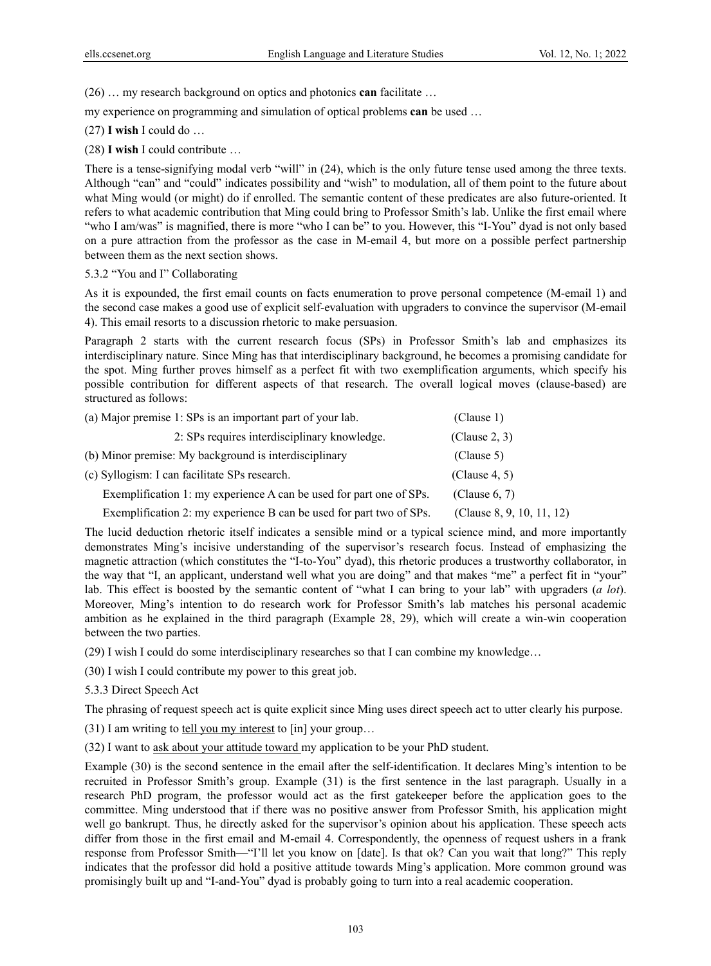(26) … my research background on optics and photonics **can** facilitate …

my experience on programming and simulation of optical problems **can** be used …

(27) **I wish** I could do …

(28) **I wish** I could contribute …

There is a tense-signifying modal verb "will" in (24), which is the only future tense used among the three texts. Although "can" and "could" indicates possibility and "wish" to modulation, all of them point to the future about what Ming would (or might) do if enrolled. The semantic content of these predicates are also future-oriented. It refers to what academic contribution that Ming could bring to Professor Smith's lab. Unlike the first email where "who I am/was" is magnified, there is more "who I can be" to you. However, this "I-You" dyad is not only based on a pure attraction from the professor as the case in M-email 4, but more on a possible perfect partnership between them as the next section shows.

## 5.3.2 "You and I" Collaborating

As it is expounded, the first email counts on facts enumeration to prove personal competence (M-email 1) and the second case makes a good use of explicit self-evaluation with upgraders to convince the supervisor (M-email 4). This email resorts to a discussion rhetoric to make persuasion.

Paragraph 2 starts with the current research focus (SPs) in Professor Smith's lab and emphasizes its interdisciplinary nature. Since Ming has that interdisciplinary background, he becomes a promising candidate for the spot. Ming further proves himself as a perfect fit with two exemplification arguments, which specify his possible contribution for different aspects of that research. The overall logical moves (clause-based) are structured as follows:

| (a) Major premise 1: SPs is an important part of your lab.          | (Clause 1)                |
|---------------------------------------------------------------------|---------------------------|
| 2: SPs requires interdisciplinary knowledge.                        | (Clause 2, 3)             |
| (b) Minor premise: My background is interdisciplinary               | (Clause 5)                |
| (c) Syllogism: I can facilitate SPs research.                       | (Clause 4, 5)             |
| Exemplification 1: my experience A can be used for part one of SPs. | (Clause 6, 7)             |
| Exemplification 2: my experience B can be used for part two of SPs. | (Clause 8, 9, 10, 11, 12) |

The lucid deduction rhetoric itself indicates a sensible mind or a typical science mind, and more importantly demonstrates Ming's incisive understanding of the supervisor's research focus. Instead of emphasizing the magnetic attraction (which constitutes the "I-to-You" dyad), this rhetoric produces a trustworthy collaborator, in the way that "I, an applicant, understand well what you are doing" and that makes "me" a perfect fit in "your" lab. This effect is boosted by the semantic content of "what I can bring to your lab" with upgraders (*a lot*). Moreover, Ming's intention to do research work for Professor Smith's lab matches his personal academic ambition as he explained in the third paragraph (Example 28, 29), which will create a win-win cooperation between the two parties.

(29) I wish I could do some interdisciplinary researches so that I can combine my knowledge…

- (30) I wish I could contribute my power to this great job.
- 5.3.3 Direct Speech Act

The phrasing of request speech act is quite explicit since Ming uses direct speech act to utter clearly his purpose.

 $(31)$  I am writing to tell you my interest to [in] your group...

(32) I want to ask about your attitude toward my application to be your PhD student.

Example (30) is the second sentence in the email after the self-identification. It declares Ming's intention to be recruited in Professor Smith's group. Example (31) is the first sentence in the last paragraph. Usually in a research PhD program, the professor would act as the first gatekeeper before the application goes to the committee. Ming understood that if there was no positive answer from Professor Smith, his application might well go bankrupt. Thus, he directly asked for the supervisor's opinion about his application. These speech acts differ from those in the first email and M-email 4. Correspondently, the openness of request ushers in a frank response from Professor Smith—"I'll let you know on [date]. Is that ok? Can you wait that long?" This reply indicates that the professor did hold a positive attitude towards Ming's application. More common ground was promisingly built up and "I-and-You" dyad is probably going to turn into a real academic cooperation.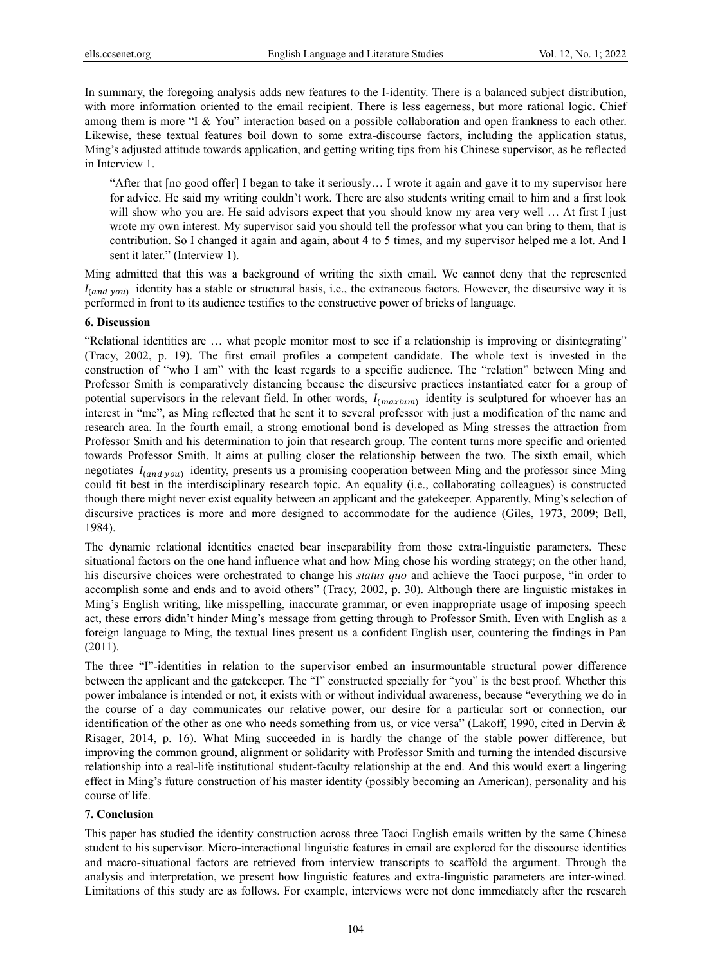In summary, the foregoing analysis adds new features to the I-identity. There is a balanced subject distribution, with more information oriented to the email recipient. There is less eagerness, but more rational logic. Chief among them is more "I & You" interaction based on a possible collaboration and open frankness to each other. Likewise, these textual features boil down to some extra-discourse factors, including the application status, Ming's adjusted attitude towards application, and getting writing tips from his Chinese supervisor, as he reflected in Interview 1.

"After that [no good offer] I began to take it seriously… I wrote it again and gave it to my supervisor here for advice. He said my writing couldn't work. There are also students writing email to him and a first look will show who you are. He said advisors expect that you should know my area very well ... At first I just wrote my own interest. My supervisor said you should tell the professor what you can bring to them, that is contribution. So I changed it again and again, about 4 to 5 times, and my supervisor helped me a lot. And I sent it later." (Interview 1).

Ming admitted that this was a background of writing the sixth email. We cannot deny that the represented  $I_{(and\ you)}$  identity has a stable or structural basis, i.e., the extraneous factors. However, the discursive way it is performed in front to its audience testifies to the constructive power of bricks of language.

## **6. Discussion**

"Relational identities are … what people monitor most to see if a relationship is improving or disintegrating" (Tracy, 2002, p. 19). The first email profiles a competent candidate. The whole text is invested in the construction of "who I am" with the least regards to a specific audience. The "relation" between Ming and Professor Smith is comparatively distancing because the discursive practices instantiated cater for a group of potential supervisors in the relevant field. In other words,  $I_{(maxium)}$  identity is sculptured for whoever has an interest in "me", as Ming reflected that he sent it to several professor with just a modification of the name and research area. In the fourth email, a strong emotional bond is developed as Ming stresses the attraction from Professor Smith and his determination to join that research group. The content turns more specific and oriented towards Professor Smith. It aims at pulling closer the relationship between the two. The sixth email, which negotiates  $I_{(and\ you)}$  identity, presents us a promising cooperation between Ming and the professor since Ming could fit best in the interdisciplinary research topic. An equality (i.e., collaborating colleagues) is constructed though there might never exist equality between an applicant and the gatekeeper. Apparently, Ming's selection of discursive practices is more and more designed to accommodate for the audience (Giles, 1973, 2009; Bell, 1984).

The dynamic relational identities enacted bear inseparability from those extra-linguistic parameters. These situational factors on the one hand influence what and how Ming chose his wording strategy; on the other hand, his discursive choices were orchestrated to change his *status quo* and achieve the Taoci purpose, "in order to accomplish some and ends and to avoid others" (Tracy, 2002, p. 30). Although there are linguistic mistakes in Ming's English writing, like misspelling, inaccurate grammar, or even inappropriate usage of imposing speech act, these errors didn't hinder Ming's message from getting through to Professor Smith. Even with English as a foreign language to Ming, the textual lines present us a confident English user, countering the findings in Pan (2011).

The three "I"-identities in relation to the supervisor embed an insurmountable structural power difference between the applicant and the gatekeeper. The "I" constructed specially for "you" is the best proof. Whether this power imbalance is intended or not, it exists with or without individual awareness, because "everything we do in the course of a day communicates our relative power, our desire for a particular sort or connection, our identification of the other as one who needs something from us, or vice versa" (Lakoff, 1990, cited in Dervin & Risager, 2014, p. 16). What Ming succeeded in is hardly the change of the stable power difference, but improving the common ground, alignment or solidarity with Professor Smith and turning the intended discursive relationship into a real-life institutional student-faculty relationship at the end. And this would exert a lingering effect in Ming's future construction of his master identity (possibly becoming an American), personality and his course of life.

#### **7. Conclusion**

This paper has studied the identity construction across three Taoci English emails written by the same Chinese student to his supervisor. Micro-interactional linguistic features in email are explored for the discourse identities and macro-situational factors are retrieved from interview transcripts to scaffold the argument. Through the analysis and interpretation, we present how linguistic features and extra-linguistic parameters are inter-wined. Limitations of this study are as follows. For example, interviews were not done immediately after the research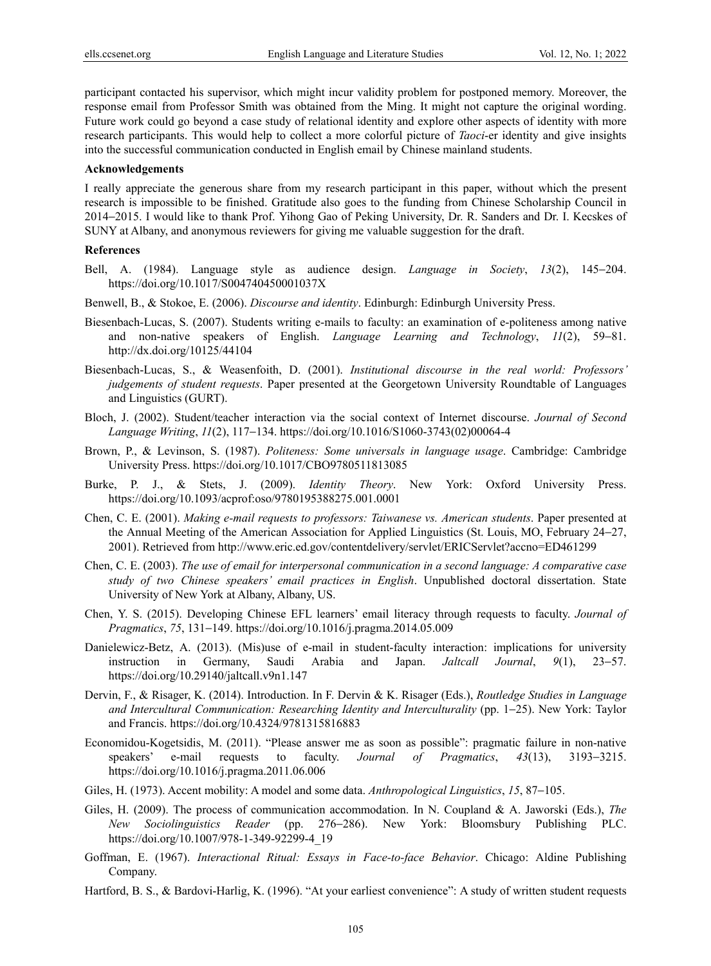participant contacted his supervisor, which might incur validity problem for postponed memory. Moreover, the response email from Professor Smith was obtained from the Ming. It might not capture the original wording. Future work could go beyond a case study of relational identity and explore other aspects of identity with more research participants. This would help to collect a more colorful picture of *Taoci*-er identity and give insights into the successful communication conducted in English email by Chinese mainland students.

#### **Acknowledgements**

I really appreciate the generous share from my research participant in this paper, without which the present research is impossible to be finished. Gratitude also goes to the funding from Chinese Scholarship Council in 2014−2015. I would like to thank Prof. Yihong Gao of Peking University, Dr. R. Sanders and Dr. I. Kecskes of SUNY at Albany, and anonymous reviewers for giving me valuable suggestion for the draft.

#### **References**

- Bell, A. (1984). Language style as audience design. *Language in Society*, *13*(2), 145−204. https://doi.org/10.1017/S004740450001037X
- Benwell, B., & Stokoe, E. (2006). *Discourse and identity*. Edinburgh: Edinburgh University Press.
- Biesenbach-Lucas, S. (2007). Students writing e-mails to faculty: an examination of e-politeness among native and non-native speakers of English. *Language Learning and Technology*, *11*(2), 59−81. http://dx.doi.org/10125/44104
- Biesenbach-Lucas, S., & Weasenfoith, D. (2001). *Institutional discourse in the real world: Professors' judgements of student requests*. Paper presented at the Georgetown University Roundtable of Languages and Linguistics (GURT).
- Bloch, J. (2002). Student/teacher interaction via the social context of Internet discourse. *Journal of Second Language Writing*, *11*(2), 117−134. https://doi.org/10.1016/S1060-3743(02)00064-4
- Brown, P., & Levinson, S. (1987). *Politeness: Some universals in language usage*. Cambridge: Cambridge University Press. https://doi.org/10.1017/CBO9780511813085
- Burke, P. J., & Stets, J. (2009). *Identity Theory*. New York: Oxford University Press. https://doi.org/10.1093/acprof:oso/9780195388275.001.0001
- Chen, C. E. (2001). *Making e-mail requests to professors: Taiwanese vs. American students*. Paper presented at the Annual Meeting of the American Association for Applied Linguistics (St. Louis, MO, February 24−27, 2001). Retrieved from http://www.eric.ed.gov/contentdelivery/servlet/ERICServlet?accno=ED461299
- Chen, C. E. (2003). *The use of email for interpersonal communication in a second language: A comparative case study of two Chinese speakers' email practices in English*. Unpublished doctoral dissertation. State University of New York at Albany, Albany, US.
- Chen, Y. S. (2015). Developing Chinese EFL learners' email literacy through requests to faculty. *Journal of Pragmatics*, *75*, 131−149. https://doi.org/10.1016/j.pragma.2014.05.009
- Danielewicz-Betz, A. (2013). (Mis)use of e-mail in student-faculty interaction: implications for university instruction in Germany, Saudi Arabia and Japan. *Jaltcall Journal*, *9*(1), 23−57. https://doi.org/10.29140/jaltcall.v9n1.147
- Dervin, F., & Risager, K. (2014). Introduction. In F. Dervin & K. Risager (Eds.), *Routledge Studies in Language and Intercultural Communication: Researching Identity and Interculturality* (pp. 1−25). New York: Taylor and Francis. https://doi.org/10.4324/9781315816883
- Economidou-Kogetsidis, M. (2011). "Please answer me as soon as possible": pragmatic failure in non-native speakers' e-mail requests to faculty. *Journal of Pragmatics*, *43*(13), 3193−3215. https://doi.org/10.1016/j.pragma.2011.06.006
- Giles, H. (1973). Accent mobility: A model and some data. *Anthropological Linguistics*, *15*, 87−105.
- Giles, H. (2009). The process of communication accommodation. In N. Coupland & A. Jaworski (Eds.), *The New Sociolinguistics Reader* (pp. 276−286). New York: Bloomsbury Publishing PLC. https://doi.org/10.1007/978-1-349-92299-4\_19
- Goffman, E. (1967). *Interactional Ritual: Essays in Face-to-face Behavior*. Chicago: Aldine Publishing Company.
- Hartford, B. S., & Bardovi-Harlig, K. (1996). "At your earliest convenience": A study of written student requests